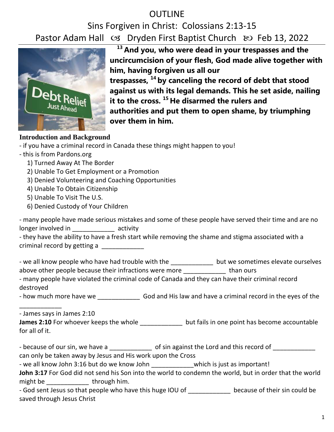## OUTLINE

# Sins Forgiven in Christ: Colossians 2:13-15 Pastor Adam Hall  $\infty$  Dryden First Baptist Church  $\infty$  Feb 13, 2022



**<sup>13</sup> And you, who were dead in your trespasses and the uncircumcision of your flesh, God made alive together with him, having forgiven us all our trespasses, <sup>14</sup> by canceling the record of debt that stood against us with its legal demands. This he set aside, nailing it to the cross. <sup>15</sup> He disarmed the rulers and authorities and put them to open shame, by triumphing over them in him.**

### **Introduction and Background**

- this is from Pardons.org
	- 1) Turned Away At The Border
	- 2) Unable To Get Employment or a Promotion
	- 3) Denied Volunteering and Coaching Opportunities
	- 4) Unable To Obtain Citizenship
	- 5) Unable To Visit The U.S.
	- 6) Denied Custody of Your Children

|                    | - many people have made serious mistakes and some of these people have served their time and are no |
|--------------------|-----------------------------------------------------------------------------------------------------|
| longer involved in | activity                                                                                            |

| - they have the ability to have a fresh start while removing the shame and stigma associated with a |  |
|-----------------------------------------------------------------------------------------------------|--|
| criminal record by getting a                                                                        |  |

- we all know people who have had trouble with the \_\_\_\_\_\_\_\_\_\_\_\_\_\_ but we sometimes elevate ourselves above other people because their infractions were more \_\_\_\_\_\_\_\_\_\_\_\_\_\_\_ than ours

- many people have violated the criminal code of Canada and they can have their criminal record destroyed

- how much more have we \_\_\_\_\_\_\_\_\_\_\_\_ God and His law and have a criminal record in the eyes of the

- James says in James 2:10

\_\_\_\_\_\_\_\_\_\_\_\_

**James 2:10** For whoever keeps the whole **but fails in one point has become accountable** for all of it.

- because of our sin, we have a \_\_\_\_\_\_\_\_\_\_\_\_\_\_ of sin against the Lord and this record of \_\_\_\_\_\_\_\_\_\_\_\_\_\_\_

can only be taken away by Jesus and His work upon the Cross

- we all know John 3:16 but do we know John which is just as important!

John 3:17 For God did not send his Son into the world to condemn the world, but in order that the world might be  $\qquad \qquad$  through him.

- God sent Jesus so that people who have this huge IOU of because of their sin could be saved through Jesus Christ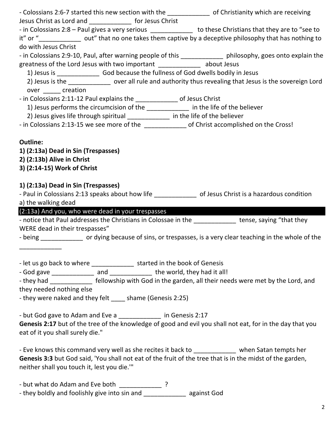|                                                                                     | - Colossians 2:6-7 started this new section with the ________________ of Christianity which are receiving     |
|-------------------------------------------------------------------------------------|---------------------------------------------------------------------------------------------------------------|
| Jesus Christ as Lord and _______________ for Jesus Christ                           |                                                                                                               |
|                                                                                     | - in Colossians 2:8 - Paul gives a very serious _____________ to these Christians that they are to "see to    |
|                                                                                     | it" or " <u> Same but</u> out" that no one takes them captive by a deceptive philosophy that has nothing to   |
| do with Jesus Christ                                                                |                                                                                                               |
|                                                                                     | - in Colossians 2:9-10, Paul, after warning people of this ______________ philosophy, goes onto explain the   |
| greatness of the Lord Jesus with two important ________________ about Jesus         |                                                                                                               |
|                                                                                     |                                                                                                               |
|                                                                                     | 2) Jesus is the _____________ over all rule and authority thus revealing that Jesus is the sovereign Lord     |
| over creation                                                                       |                                                                                                               |
| - in Colossians 2:11-12 Paul explains the ________________ of Jesus Christ          |                                                                                                               |
| 1) Jesus performs the circumcision of the _____________ in the life of the believer |                                                                                                               |
| 2) Jesus gives life through spiritual _____________ in the life of the believer     |                                                                                                               |
|                                                                                     |                                                                                                               |
|                                                                                     |                                                                                                               |
| <b>Outline:</b>                                                                     |                                                                                                               |
| 1) (2:13a) Dead in Sin (Trespasses)                                                 |                                                                                                               |
| 2) (2:13b) Alive in Christ                                                          |                                                                                                               |
| 3) (2:14-15) Work of Christ                                                         |                                                                                                               |
|                                                                                     |                                                                                                               |
| 1) (2:13a) Dead in Sin (Trespasses)                                                 |                                                                                                               |
|                                                                                     | - Paul in Colossians 2:13 speaks about how life ______________ of Jesus Christ is a hazardous condition       |
| a) the walking dead                                                                 |                                                                                                               |
|                                                                                     |                                                                                                               |
| (2:13a) And you, who were dead in your trespasses                                   |                                                                                                               |
|                                                                                     | - notice that Paul addresses the Christians in Colossae in the _____________ tense, saying "that they         |
| WERE dead in their trespasses"                                                      |                                                                                                               |
|                                                                                     | - being _______________ or dying because of sins, or trespasses, is a very clear teaching in the whole of the |
|                                                                                     |                                                                                                               |
|                                                                                     |                                                                                                               |
| - let us go back to where ________________ started in the book of Genesis           |                                                                                                               |
| - God gave ______________ and ______________ the world, they had it all!            |                                                                                                               |
|                                                                                     | - they had _______________ fellowship with God in the garden, all their needs were met by the Lord, and       |
| they needed nothing else                                                            |                                                                                                               |
| - they were naked and they felt ____ shame (Genesis 2:25)                           |                                                                                                               |
|                                                                                     |                                                                                                               |
| - but God gave to Adam and Eve a ______________ in Genesis 2:17                     |                                                                                                               |
|                                                                                     | Genesis 2:17 but of the tree of the knowledge of good and evil you shall not eat, for in the day that you     |
| eat of it you shall surely die."                                                    |                                                                                                               |
|                                                                                     |                                                                                                               |
|                                                                                     | - Eve knows this command very well as she recites it back to _____________ when Satan tempts her              |
|                                                                                     | Genesis 3:3 but God said, 'You shall not eat of the fruit of the tree that is in the midst of the garden,     |
| neither shall you touch it, lest you die.""                                         |                                                                                                               |
|                                                                                     |                                                                                                               |
| - but what do Adam and Eve both _____________?                                      |                                                                                                               |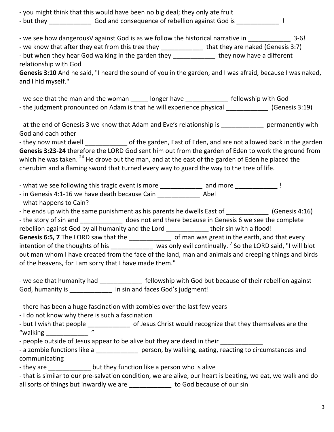- you might think that this would have been no big deal; they only ate fruit

- but they God and consequence of rebellion against God is Fig. 2. The Section 4 and Consequence of rebellion against God is

- we see how dangerousV against God is as we follow the historical narrative in  $\sim$  3-6!

- we know that after they eat from this tree they \_\_\_\_\_\_\_\_\_\_\_\_\_\_\_ that they are naked (Genesis 3:7)

- but when they hear God walking in the garden they \_\_\_\_\_\_\_\_\_\_\_\_\_ they now have a different relationship with God

**Genesis 3:10** And he said, "I heard the sound of you in the garden, and I was afraid, because I was naked, and I hid myself."

- we see that the man and the woman longer have entitled as fellowship with God - the judgment pronounced on Adam is that he will experience physical (Genesis 3:19)

- at the end of Genesis 3 we know that Adam and Eve's relationship is entitled approximate permanently with God and each other

- they now must dwell ell of the garden, East of Eden, and are not allowed back in the garden **Genesis 3:23-24** therefore the LORD God sent him out from the garden of Eden to work the ground from which he was taken. <sup>24</sup> He drove out the man, and at the east of the garden of Eden he placed the cherubim and a flaming sword that turned every way to guard the way to the tree of life.

- what we see following this tragic event is more \_\_\_\_\_\_\_\_\_\_\_\_\_ and more \_\_\_\_\_\_\_\_\_\_\_\_\_\_ !

- in Genesis 4:1-16 we have death because Cain \_\_\_\_\_\_\_\_\_\_\_\_ Abel

- what happens to Cain?

- he ends up with the same punishment as his parents he dwells East of [Genesis 4:16]

- the story of sin and **the story of single and set of the story** of sin and store does not end there because in Genesis 6 we see the complete rebellion against God by all humanity and the Lord \_\_\_\_\_\_\_\_\_\_\_\_\_ their sin with a flood!

Genesis 6:5, 7 The LORD saw that the \_\_\_\_\_\_\_\_\_\_\_\_\_\_\_\_ of man was great in the earth, and that every intention of the thoughts of his \_\_\_\_\_\_\_\_\_\_\_\_\_\_ was only evil continually.<sup>7</sup> So the LORD said, "I will blot out man whom I have created from the face of the land, man and animals and creeping things and birds of the heavens, for I am sorry that I have made them."

- we see that humanity had \_\_\_\_\_\_\_\_\_\_\_\_\_\_ fellowship with God but because of their rebellion against God, humanity is \_\_\_\_\_\_\_\_\_\_\_\_\_\_ in sin and faces God's judgment!

- there has been a huge fascination with zombies over the last few years

- I do not know why there is such a fascination

- but I wish that people \_\_\_\_\_\_\_\_\_\_\_\_\_\_\_\_ of Jesus Christ would recognize that they themselves are the "valking "walking \_\_\_\_\_\_\_\_\_\_\_\_ "

- people outside of Jesus appear to be alive but they are dead in their \_\_\_\_\_\_\_\_

- a zombie functions like a \_\_\_\_\_\_\_\_\_\_\_\_\_\_\_ person, by walking, eating, reacting to circumstances and communicating

- they are **they** function like a person who is alive

- that is similar to our pre-salvation condition, we are alive, our heart is beating, we eat, we walk and do all sorts of things but inwardly we are \_\_\_\_\_\_\_\_\_\_\_\_ to God because of our sin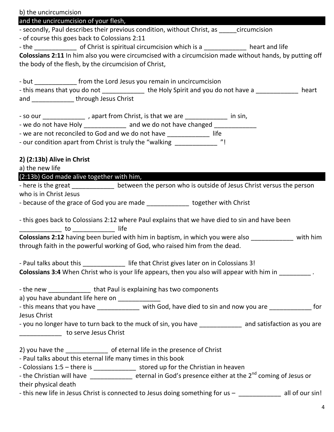| b) the uncircumcision                                                                                                                                              |
|--------------------------------------------------------------------------------------------------------------------------------------------------------------------|
| and the uncircumcision of your flesh,                                                                                                                              |
| - secondly, Paul describes their previous condition, without Christ, as ______ circumcision                                                                        |
| - of course this goes back to Colossians 2:11                                                                                                                      |
|                                                                                                                                                                    |
| Colossians 2:11 In him also you were circumcised with a circumcision made without hands, by putting off                                                            |
| the body of the flesh, by the circumcision of Christ,                                                                                                              |
|                                                                                                                                                                    |
| - but ________________ from the Lord Jesus you remain in uncircumcision                                                                                            |
| - this means that you do not ______________ the Holy Spirit and you do not have a _____________ heart                                                              |
| and ______________through Jesus Christ                                                                                                                             |
|                                                                                                                                                                    |
| - so our ________________, apart from Christ, is that we are ______________ in sin,<br>- we do not have Holy _____________ and we do not have changed ____________ |
| - we are not reconciled to God and we do not have _______________ life                                                                                             |
| - our condition apart from Christ is truly the "walking ______________ "!                                                                                          |
|                                                                                                                                                                    |
| $2)$ (2:13b) Alive in Christ                                                                                                                                       |
| a) the new life                                                                                                                                                    |
| (2:13b) God made alive together with him, and the state of the state of the state of the state of the state of                                                     |
| - here is the great ______________ between the person who is outside of Jesus Christ versus the person                                                             |
| who is in Christ Jesus                                                                                                                                             |
| - because of the grace of God you are made ______________ together with Christ                                                                                     |
|                                                                                                                                                                    |
| - this goes back to Colossians 2:12 where Paul explains that we have died to sin and have been                                                                     |
|                                                                                                                                                                    |
| <b>Colossians 2:12</b> having been buried with him in baptism, in which you were also ___________ with him                                                         |
| through faith in the powerful working of God, who raised him from the dead.                                                                                        |
|                                                                                                                                                                    |
| - Paul talks about this life that Christ gives later on in Colossians 3!                                                                                           |
| Colossians 3:4 When Christ who is your life appears, then you also will appear with him in _________.                                                              |
| - the new __________________that Paul is explaining has two components                                                                                             |
| a) you have abundant life here on _____________                                                                                                                    |
| - this means that you have ______________ with God, have died to sin and now you are _____________ for                                                             |
| Jesus Christ                                                                                                                                                       |
| - you no longer have to turn back to the muck of sin, you have ______________ and satisfaction as you are                                                          |
| _________________ to serve Jesus Christ                                                                                                                            |
|                                                                                                                                                                    |
| 2) you have the _______________ of eternal life in the presence of Christ                                                                                          |
| - Paul talks about this eternal life many times in this book                                                                                                       |
| - Colossians 1:5 - there is _______________ stored up for the Christian in heaven                                                                                  |
| - the Christian will have _______________ eternal in God's presence either at the 2 <sup>nd</sup> coming of Jesus or                                               |
| their physical death                                                                                                                                               |
| - this new life in Jesus Christ is connected to Jesus doing something for us - ____________ all of our sin!                                                        |

4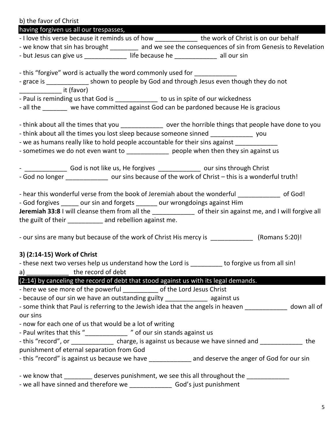| b) the favor of Christ                                                                                                                                                                                                                                                                                                                                                                |
|---------------------------------------------------------------------------------------------------------------------------------------------------------------------------------------------------------------------------------------------------------------------------------------------------------------------------------------------------------------------------------------|
| having forgiven us all our trespasses,                                                                                                                                                                                                                                                                                                                                                |
| - I love this verse because it reminds us of how _____________ the work of Christ is on our behalf                                                                                                                                                                                                                                                                                    |
| - we know that sin has brought ________ and we see the consequences of sin from Genesis to Revelation                                                                                                                                                                                                                                                                                 |
| - but Jesus can give us _____________ life because he ___________ all our sin                                                                                                                                                                                                                                                                                                         |
| - this "forgive" word is actually the word commonly used for _____________                                                                                                                                                                                                                                                                                                            |
| - grace is ______________ shown to people by God and through Jesus even though they do not                                                                                                                                                                                                                                                                                            |
| ____________________ it (favor)<br>- Paul is reminding us that God is ____________ to us in spite of our wickedness                                                                                                                                                                                                                                                                   |
| - all the ______ we have committed against God can be pardoned because He is gracious                                                                                                                                                                                                                                                                                                 |
| - think about all the times that you ______________ over the horrible things that people have done to you<br>- think about all the times you lost sleep because someone sinned _______________ you<br>- we as humans really like to hold people accountable for their sins against _________<br>- sometimes we do not even want to _____________ people when then they sin against us |
| God is not like us, He forgives _____________ our sins through Christ<br>- God no longer ______________ our sins because of the work of Christ - this is a wonderful truth!                                                                                                                                                                                                           |
| - hear this wonderful verse from the book of Jeremiah about the wonderful _____________ of God!<br>- God forgives _____ our sin and forgets _____ our wrongdoings against Him<br>Jeremiah 33:8 I will cleanse them from all the _____________ of their sin against me, and I will forgive all<br>the guilt of their ___________ and rebellion against me.                             |
| - our sins are many but because of the work of Christ His mercy is ______________ (Romans 5:20)!                                                                                                                                                                                                                                                                                      |
| 3) (2:14-15) Work of Christ<br>- these next two verses help us understand how the Lord is ________ to forgive us from all sin!<br>$a)$ _______________ the record of debt                                                                                                                                                                                                             |
| (2:14) by canceling the record of debt that stood against us with its legal demands.                                                                                                                                                                                                                                                                                                  |
| - here we see more of the powerful __________ of the Lord Jesus Christ                                                                                                                                                                                                                                                                                                                |
| - because of our sin we have an outstanding guilty ______________ against us<br>- some think that Paul is referring to the Jewish idea that the angels in heaven ____________ down all of                                                                                                                                                                                             |
| our sins                                                                                                                                                                                                                                                                                                                                                                              |
| - now for each one of us that would be a lot of writing                                                                                                                                                                                                                                                                                                                               |
| - Paul writes that this "______________ " of our sin stands against us                                                                                                                                                                                                                                                                                                                |
| - this "record", or ______________ charge, is against us because we have sinned and _____________ the                                                                                                                                                                                                                                                                                 |
| punishment of eternal separation from God                                                                                                                                                                                                                                                                                                                                             |
| - this "record" is against us because we have ______________ and deserve the anger of God for our sin                                                                                                                                                                                                                                                                                 |
| - we know that ________ deserves punishment, we see this all throughout the ___________                                                                                                                                                                                                                                                                                               |
| - we all have sinned and therefore we _____________________ God's just punishment                                                                                                                                                                                                                                                                                                     |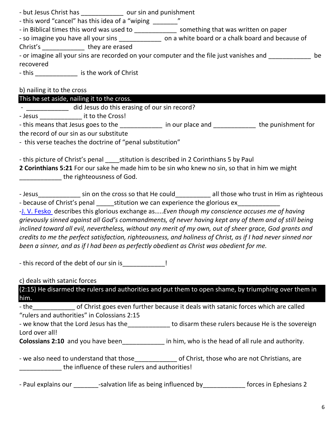| - but Jesus Christ has | our sin and punishment |
|------------------------|------------------------|
|------------------------|------------------------|

- this word "cancel" has this idea of a "wiping \_\_\_\_\_\_\_\_"

- in Biblical times this word was used to \_\_\_\_\_\_\_\_\_\_\_\_\_\_\_ something that was written on paper

- so imagine you have all your sins \_\_\_\_\_\_\_\_\_\_\_\_\_\_\_ on a white board or a chalk board and because of

Christ's \_\_\_\_\_\_\_\_\_\_\_\_ they are erased

- or imagine all your sins are recorded on your computer and the file just vanishes and  $\qquad \qquad$  be recovered

- this \_\_\_\_\_\_\_\_\_\_\_\_\_\_\_ is the work of Christ

b) nailing it to the cross

This he set aside, nailing it to the cross.

- \_\_\_\_\_\_\_\_\_\_\_\_\_ did Jesus do this erasing of our sin record?

- Jesus \_\_\_\_\_\_\_\_\_\_\_\_ it to the Cross!

- this means that Jesus goes to the \_\_\_\_\_\_\_\_\_\_\_\_\_\_ in our place and \_\_\_\_\_\_\_\_\_\_\_\_\_ the punishment for

the record of our sin as our substitute

- this verse teaches the doctrine of "penal substitution"

- this picture of Christ's penal stitution is described in 2 Corinthians 5 by Paul

**2 Corinthians 5:21** For our sake he made him to be sin who knew no sin, so that in him we might \_\_\_\_\_\_\_\_\_\_\_\_ the righteousness of God.

- Jesus\_\_\_\_\_\_\_\_\_\_\_\_\_ sin on the cross so that He could\_\_\_\_\_\_\_\_\_\_ all those who trust in Him as righteous - because of Christ's penal stitution we can experience the glorious ex

[-J. V. Fesko](https://www.thegospelcoalition.org/profile/j-v-fesko/) describes this glorious exchange as…..*Even though my conscience accuses me of having grievously sinned against all God's commandments, of never having kept any of them and of still being inclined toward all evil, nevertheless, without any merit of my own, out of sheer grace, God grants and credits to me the perfect satisfaction, righteousness, and holiness of Christ, as if I had never sinned nor been a sinner, and as if I had been as perfectly obedient as Christ was obedient for me.*

- this record of the debt of our sin is This

c) deals with satanic forces

(2:15) He disarmed the rulers and authorities and put them to open shame, by triumphing over them in him.

- the discrept of Christ goes even further because it deals with satanic forces which are called "rulers and authorities" in Colossians 2:15

- we know that the Lord Jesus has the\_\_\_\_\_\_\_\_\_\_\_\_\_ to disarm these rulers because He is the sovereign Lord over all!

**Colossians 2:10** and you have been\_\_\_\_\_\_\_\_\_\_\_\_ in him, who is the head of all rule and authority.

- we also need to understand that those entity of Christ, those who are not Christians, are \_\_\_\_\_\_\_\_\_\_\_\_ the influence of these rulers and authorities!

- Paul explains our \_\_\_\_\_\_\_\_-salvation life as being influenced by \_\_\_\_\_\_\_\_\_\_\_\_\_ forces in Ephesians 2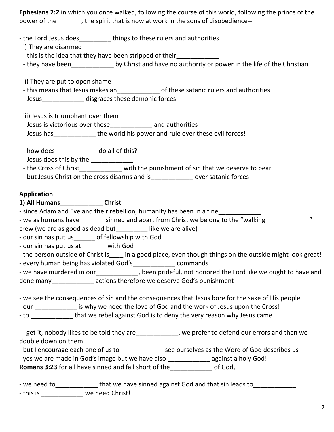**Ephesians 2:2** in which you once walked, following the course of this world, following the prince of the power of the\_\_\_\_\_\_\_, the spirit that is now at work in the sons of disobedience--

- the Lord Jesus does things to these rulers and authorities

i) They are disarmed

- this is the idea that they have been stripped of their\_\_\_\_\_\_\_\_\_\_\_\_

- they have been by Christ and have no authority or power in the life of the Christian

ii) They are put to open shame

- this means that Jesus makes an\_\_\_\_\_\_\_\_\_\_\_\_ of these satanic rulers and authorities

- Jesus\_\_\_\_\_\_\_\_\_\_\_\_\_\_ disgraces these demonic forces

iii) Jesus is triumphant over them

- Jesus is victorious over these\_\_\_\_\_\_\_\_\_\_\_\_ and authorities

- Jesus has \_\_\_\_\_\_\_\_\_\_\_\_\_\_\_ the world his power and rule over these evil forces!

- how does do all of this?

- Jesus does this by the \_\_\_\_\_\_\_\_\_\_\_\_

- the Cross of Christ with the punishment of sin that we deserve to bear

- but Jesus Christ on the cross disarms and is\_\_\_\_\_\_\_\_\_\_\_\_ over satanic forces

### **Application**

**1) All Humans**\_\_\_\_\_\_\_\_\_\_\_\_ **Christ** 

- since Adam and Eve and their rebellion, humanity has been in a fine

- we as humans have \_\_\_\_\_\_\_\_ sinned and apart from Christ we belong to the "walking

crew (we are as good as dead but\_\_\_\_\_\_\_\_\_ like we are alive)

- our sin has put us\_\_\_\_\_\_ of fellowship with God

- our sin has put us at\_\_\_\_\_\_\_ with God

- the person outside of Christ is in a good place, even though things on the outside might look great!

- every human being has violated God's\_\_\_\_\_\_\_\_\_\_\_\_\_ commands

- we have murdered in our extended in the section of the sen prideful, not honored the Lord like we ought to have and done many actions therefore we deserve God's punishment

- we see the consequences of sin and the consequences that Jesus bore for the sake of His people

- our \_\_\_\_\_\_\_\_\_\_\_\_\_ is why we need the love of God and the work of Jesus upon the Cross!

- to **that we rebel against God is to deny the very reason why Jesus came** 

- I get it, nobody likes to be told they are\_\_\_\_\_\_\_\_\_\_\_, we prefer to defend our errors and then we double down on them

- but I encourage each one of us to see ourselves as the Word of God describes us

- yes we are made in God's image but we have also \_\_\_\_\_\_\_\_\_\_\_\_\_\_ against a holy God!

**Romans 3:23** for all have sinned and fall short of the  $\qquad$  of God,

| - we need to | that we have sinned against God and that sin leads to |
|--------------|-------------------------------------------------------|
|--------------|-------------------------------------------------------|

- this is \_\_\_\_\_\_\_\_\_\_\_\_\_\_ we need Christ!